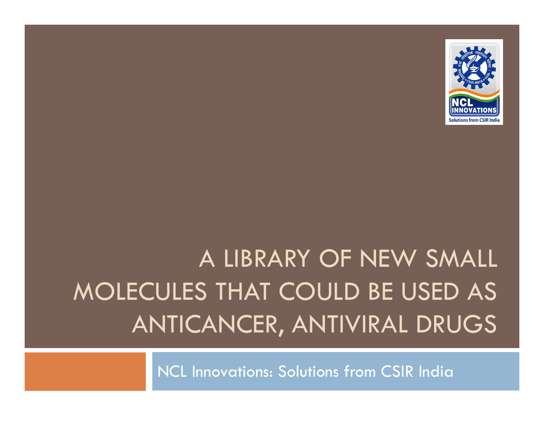

## A LIBRARY OF NEW SMALL MOLECULES THAT COULD BE USED AS ANTICANCER, ANTIVIRAL DRUGS

NCL Innovations: Solutions from CSIR India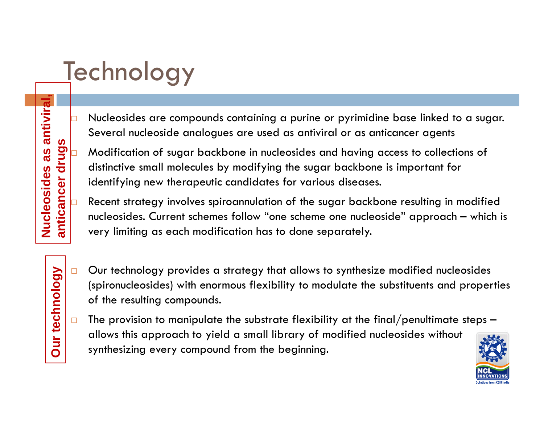## **Technology**

b

 $\Box$ 

□

**anticance**

**Dur technology** 

**ur technol**

**Nucleosides as antiviral,** 

**es as an**

- Nucleosides are compounds containing a purine or pyrimidine base linked to a sugar. Several nucleoside analogues are used as antiviral or as anticancer agents
- Modification of sugar backbone in nucleosides and having access to collections of distinctive small molecules by modifying the sugar backbone is important for Modification of sugar backbone in nucleosides and having a distinctive small molecules by modifying the sugar backbone identifying new therapeutic candidates for various diseases.<br>Recent strategy involves spiroannulation o Modification of sugar backbone in nucleosides and having a<br>distinctive small molecules by modifying the sugar backbone<br>identifying new therapeutic candidates for various diseases.
- Recent strategy involves spiroannulation of the sugar backbone resulting in modified nucleosides. Current schemes follow "one scheme one nucleoside" approach – which is  $\overline{z}$   $\overline{z}$   $\vert$  very limiting as each modification has to done separately The dentitying new therapeutic candidates for various disease.<br> **ucleosides** Recent strategy involves spiroannulation of the sugar backket<br>
mucleosides. Current schemes follow "one scheme one nucle-<br>
very limiting as each
	- $\Box$  Our technology provides a strategy that allows to synthesize modified nucleosides (spironucleosides) with enormous flexibility to modulate the substituents and properties of the resulting compounds.
	- $\Box$  The provision to manipulate the substrate flexibility at the final/penultimate steps – allows this approach to yield a small library of modified nucleosides without synthesizing every compound from the beginning.

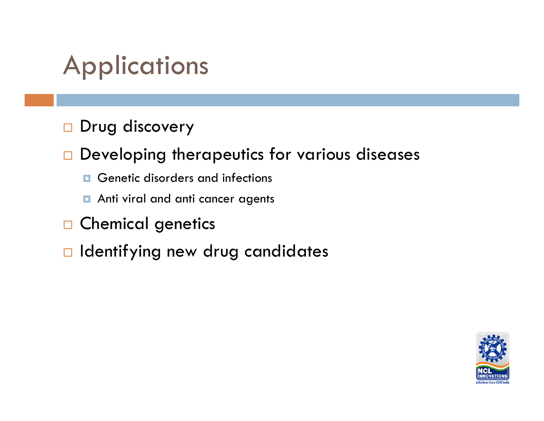## **Applications**

 $\Box$ Drug discovery

**Developing therapeutics for various diseases** 

- **Q** Genetic disorders and infections
- **n** Anti viral and anti cancer agents
- $\Box$ Chemical genetics
- $\Box$  Identifying new drug candidates

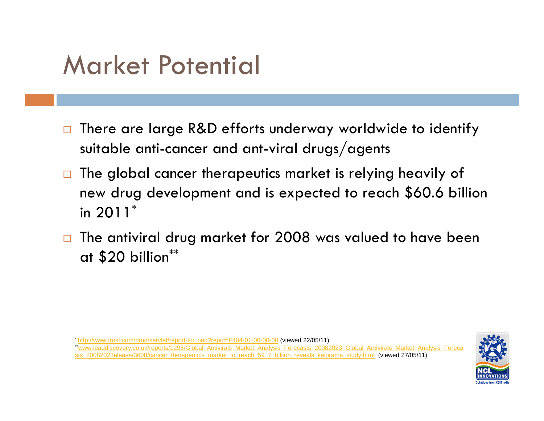#### Market Potential

- $\Box$  There are large R&D efforts underway worldwide to identify suitable anti-cancer and ant-viral drugs/agents
- $\Box$  The global cancer therapeutics market is relying heavily of new drug development and is expected to reach \$60.6 billion in 2011\*
- $\Box$  The antiviral drug market for 2008 was valued to have been at \$20 billion\*\*

\* http://www.frost.com/prod/servlet/report-toc.paq?repid=F404-01-00-00-00 (viewed 22/05/11)

\*\*www.leaddiscovery.co.uk/reports/1295/Global\_Antivirals\_Market\_Analysis\_Forecasts\_20082023\_Global\_Antivirals\_Market\_Analysis\_Foreca sts\_20082023elease/3608/cancer\_therapeutics\_market\_to\_reach\_59\_7\_billion\_reveals\_kalorama\_study.html (viewed 27/05/11)

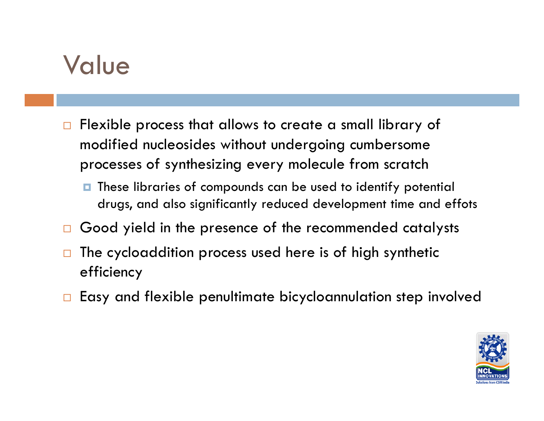#### Value

- $\Box$ Flexible process that allows to create a small library of modified nucleosides without undergoing cumbersome processes of synthesizing every molecule from scratch
	- **D** These libraries of compounds can be used to identify potential drugs, and also significantly reduced development time and effots
- $\Box$ Good yield in the presence of the recommended catalysts
- $\Box$  The cycloaddition process used here is of high synthetic efficiency
- $\Box$ Easy and flexible penultimate bicycloannulation step involved

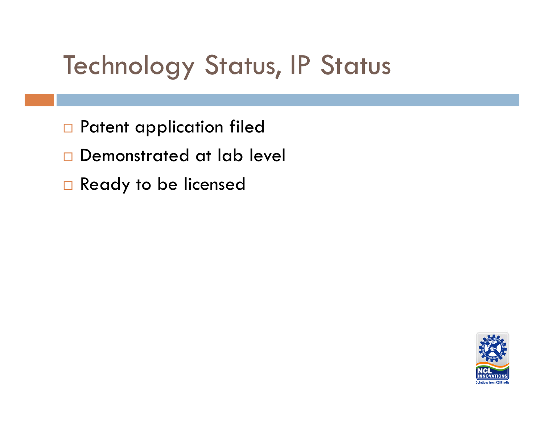## **Technology Status, IP Status**

- **Q** Patent application filed
- **Q** Demonstrated at lab level
- □ Ready to be licensed

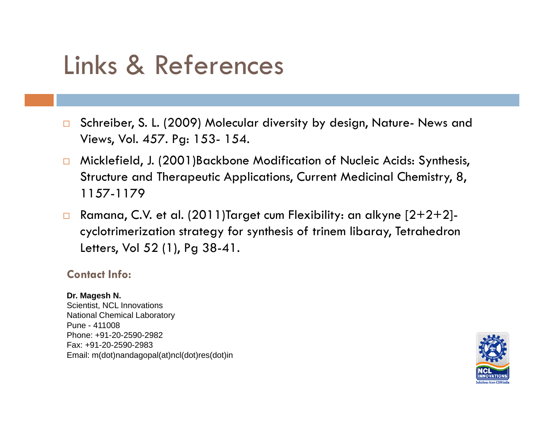### Links & References

- $\Box$  Schreiber, S. L. (2009) Molecular diversity by design, Nature- News and Views, Vol. 457. Pg: 153- 154.
- $\Box$  Micklefield, J. (2001)Backbone Modification of Nucleic Acids: Synthesis, Structure and Therapeutic Applications, Current Medicinal Chemistry, 8, 1157-1179
- $\Box$  Ramana, C.V. et al. (2011)Target cum Flexibility: an alkyne [2+2+2] cyclotrimerization strategy for synthesis of trinem libaray, Tetrahedron Letters, Vol 52 (1), Pg 38-41.

#### **Contact Info:**

#### **Dr. Magesh N.**

Scientist, NCL Innovations National Chemical Laboratory Pune - 411008Phone: +91-20-2590-2982Fax: +91-20-2590-2983 Email: m(dot)nandagopal(at)ncl(dot)res(dot)in